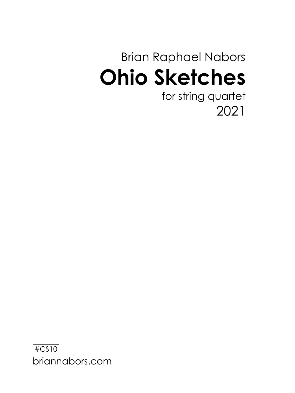# **Ohio Sketches** Brian Raphael Nabors

for string quartet 2021

briannabors.com  $|$ #CS10 $|$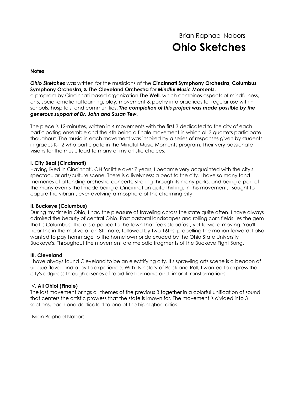Brian Raphael Nabors **Ohio Sketches**

### **Notes**

*Ohio Sketches* was written for the musicians of the **Cincinnati Symphony Orchestra, Columbus Symphony Orchestra, & The Cleveland Orchestra** for *Mindful Music Moments*, a program by Cincinnati-based organization **The Well,** which combines aspects of mindfulness, arts, social-emotional learning, play, movement & poetry into practices for regular use within schools, hospitals, and communities. *The completion of this project was made possible by the generous support of Dr. John and Susan Tew.*

The piece is 12-minutes, written in 4 movements with the first 3 dedicated to the city of each participating ensemble and the 4th being a finale movement in which all 3 quartets participate thoughout. The music in each movement was inspired by a series of responses given by students in grades K-12 who participate in the Mindful Music Moments program. Their very passionate visions for the music lead to many of my artistic choices.

#### **I. City Beat (Cincinnati)**

Having lived in Cincinnati, OH for little over 7 years, I became very acquainted with the city's spectacular arts/culture scene. There is a livelyness; a beat to the city. I have so many fond memories of attending orchestra concerts, strolling through its many parks, and being a partof the many events that made being a Cincinnatian quite thrilling. In this movement, Isought to capure the vibrant, ever-evolving atmosphere of this charming city.

#### **II. Buckeye (Columbus)**

During my time in Ohio, Ihad the pleasure of traveling across the state quite often. I have always admired the beauty of central Ohio. Past pastoral landscapes and rolling corn fields lies the gem that is Columbus. There is a peace to the town that feels steadfast, yet forward moving. You'll hear this in the motive of an 8th note, followed by two 1 6ths, propelling the motion forward. I also wanted to pay hommage to the hometown pride exuded by the Ohio State University Buckeye's. Throughout the movement are melodic fragments of the Buckeye Fight Song.

#### **III. Cleveland**

I have always found Cleveland to be an electrifying city. It's sprawling arts scene is a beacon of unique flavor and a joy to experience. With its history of Rock and Roll, I wanted to express the city's edginess through a series of rapid fire harmonic and timbral transformations.

## IV. **All Ohio! (Finale)**

The last movement brings all themes of the previous 3 together in a colorful unification of sound that centers the artistic prowess that the state is known for. The movement is divided into 3 sections, each one dedicated to one of the highlighed cities.

-Brian Raphael Nabors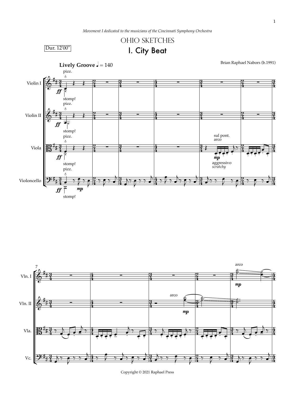

Dur. 12'00"





Copyright © 2021 Raphael Press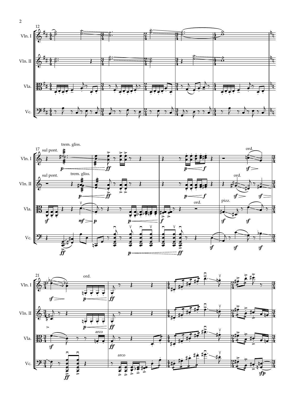



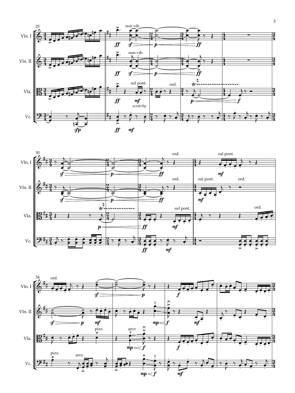



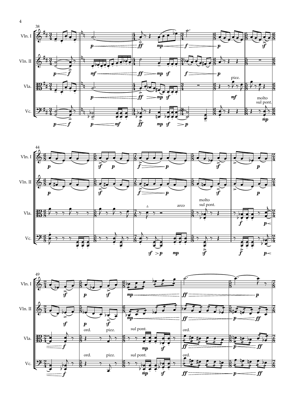



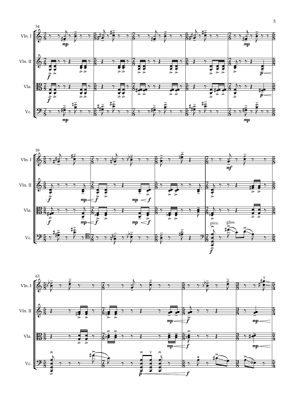



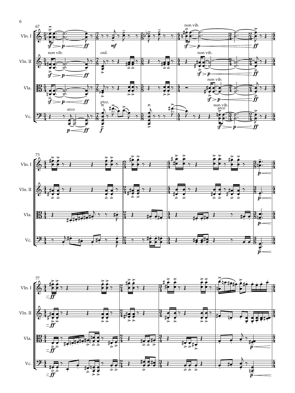



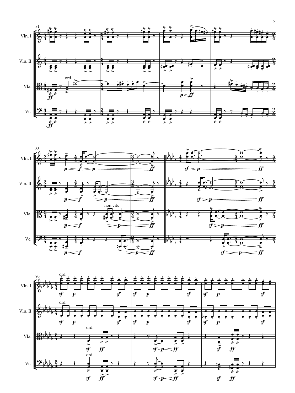



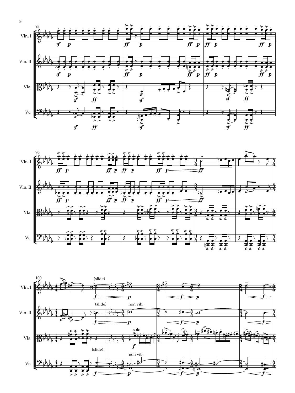



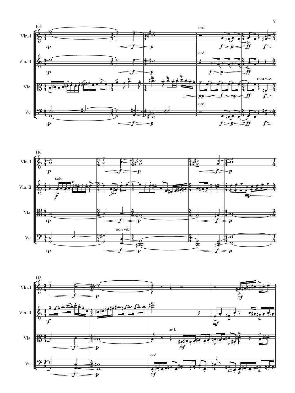



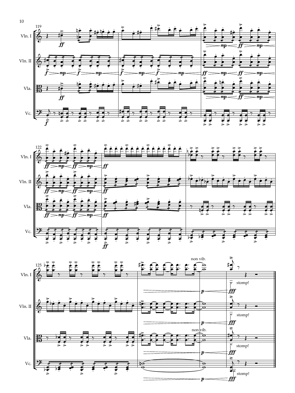



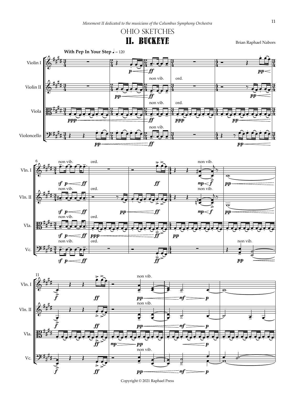# OHIO SKETCHES **II. BUCKEYE** Brian Raphael Nabors







Copyright © 2021 Raphael Press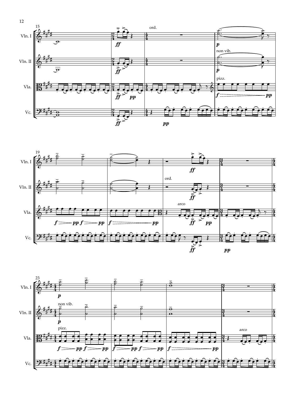



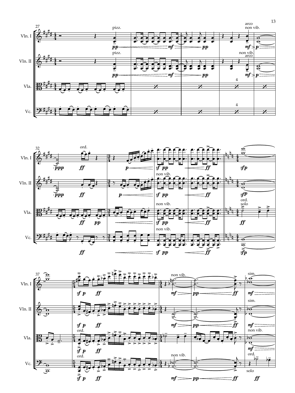



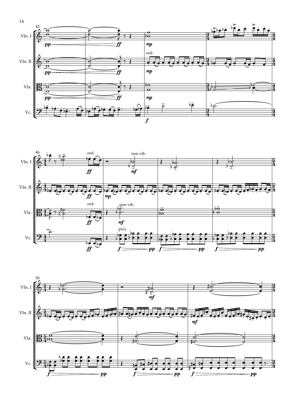



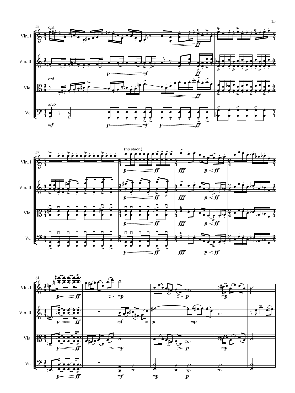



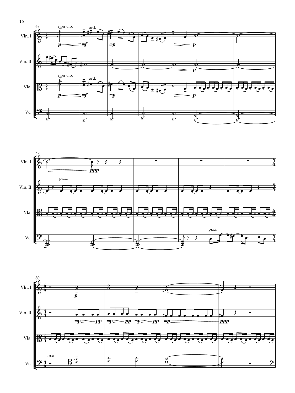



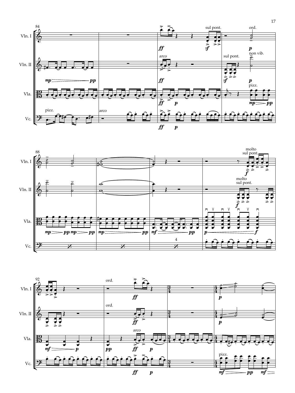



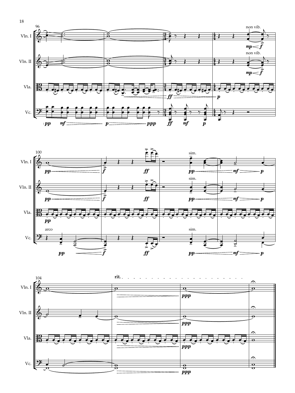



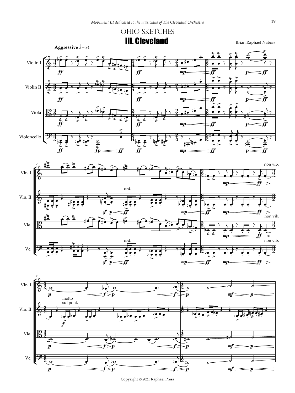



Copyright © 2021 Raphael Press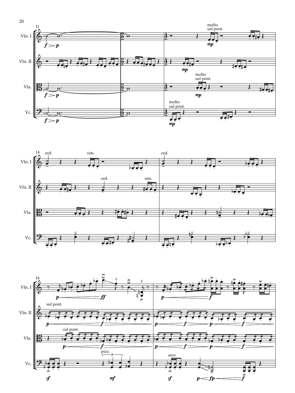



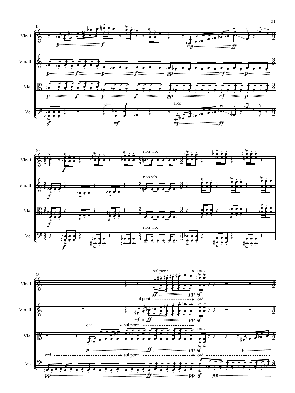



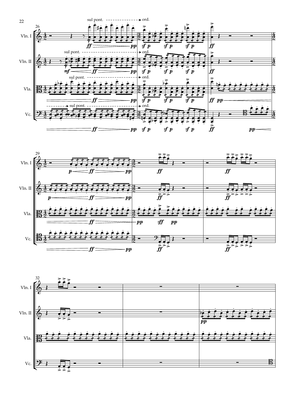



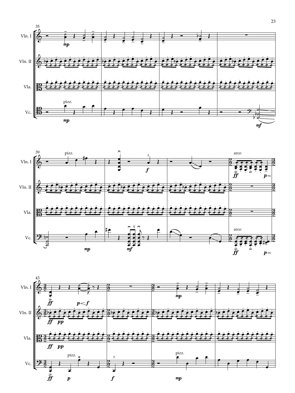



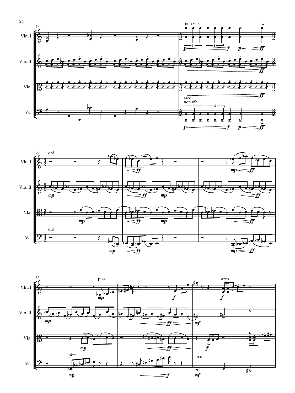



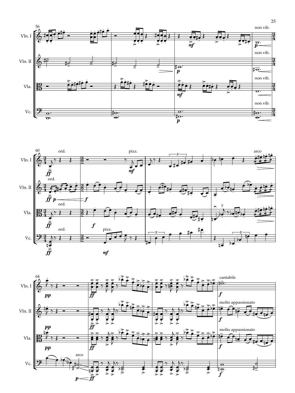



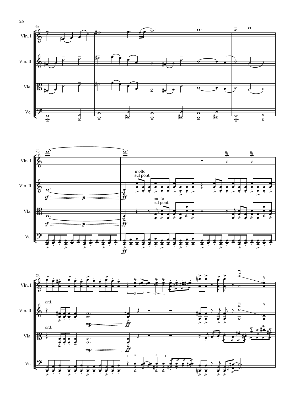



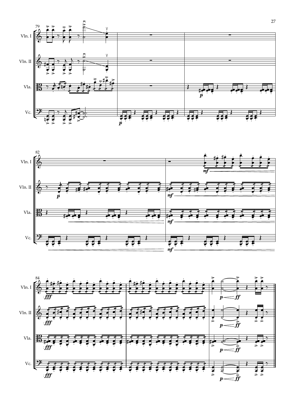



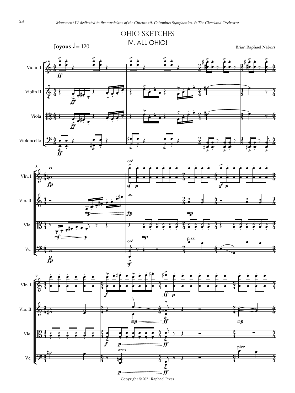

Copyright © 2021 Raphael Press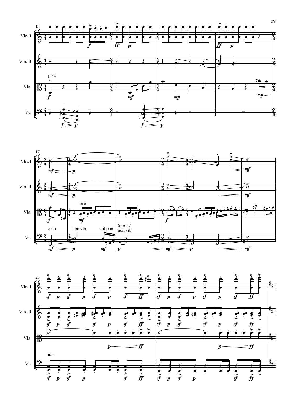



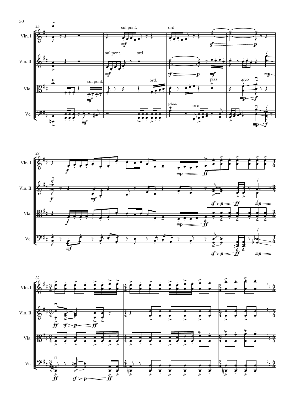



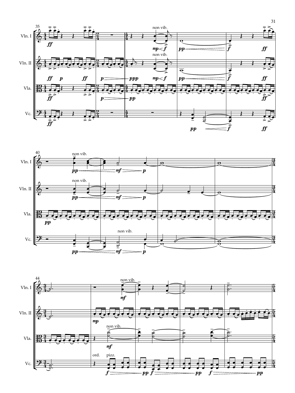



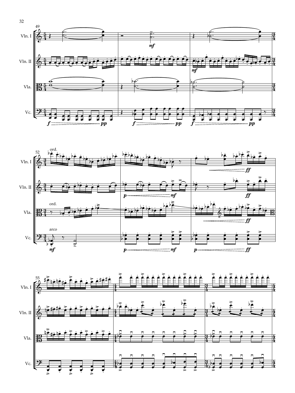



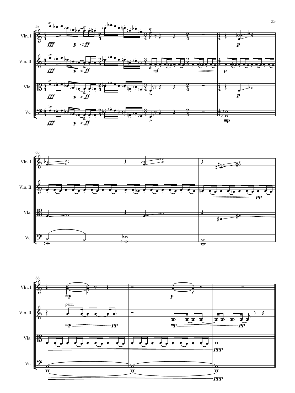



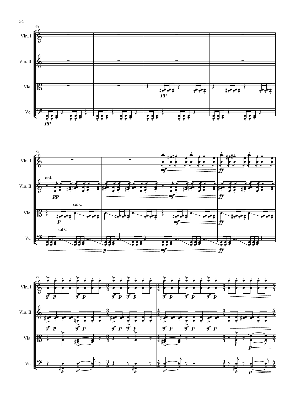



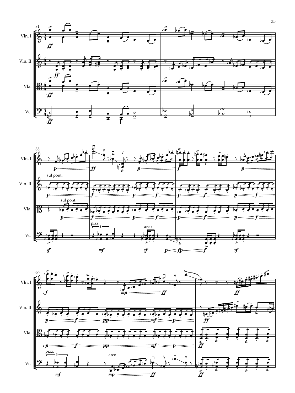

![](_page_36_Figure_1.jpeg)

![](_page_36_Figure_2.jpeg)